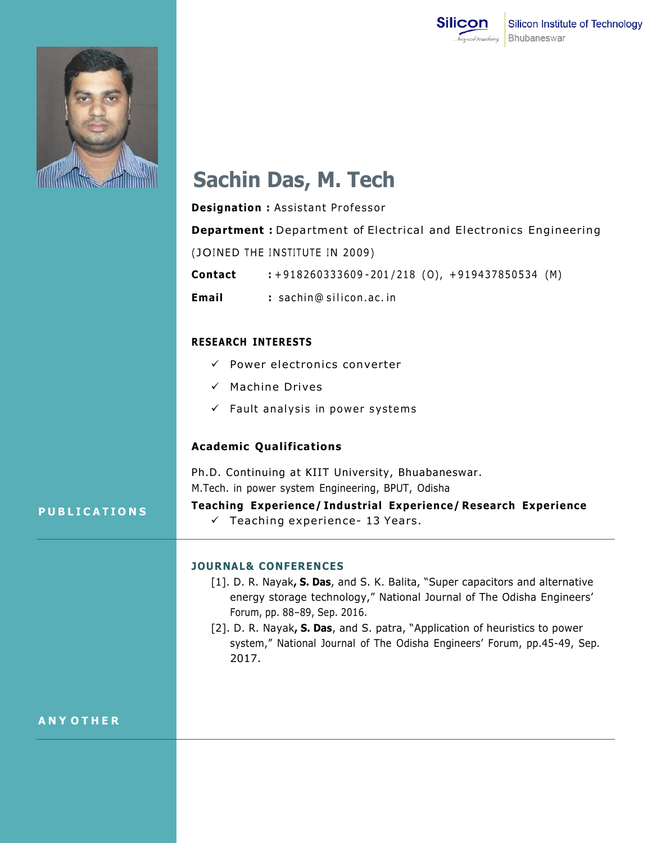



# **Sachin Das, M. Tech**

**Designation : Assistant Professor Department :** Department of Electrical and Electronics Engineering (JOINED THE INSTITUTE IN 2009) **Contact** : +918260333609-201/218 (0), +919437850534 (M) **Email** : sachin@ silicon.ac. in

## **RESEARCH INTERESTS**

- $\checkmark$  Power electronics converter
- $\checkmark$  Machine Drives
- $\checkmark$  Fault analysis in power systems

## **Academic Qualifications**

Ph.D. Continuing at KIIT University, Bhuabaneswar. M.Tech. in power system Engineering, BPUT, Odisha

### **P U B L I C A T I O N S**

**Teaching Experience/ Industrial Experience/ Research Experience**  $\checkmark$  Teaching experience- 13 Years.

#### **JOURNAL& CONFERENCES**

- [1]. D. R. Nayak**, S. Das**, and S. K. Balita, "Super capacitors and alternative energy storage technology," National Journal of The Odisha Engineers' Forum, pp. 88–89, Sep. 2016.
- [2]. D. R. Nayak**, S. Das**, and S. patra, "Application of heuristics to power system," National Journal of The Odisha Engineers' Forum, pp.45-49, Sep. 2017.

### **A N Y O T H E R**